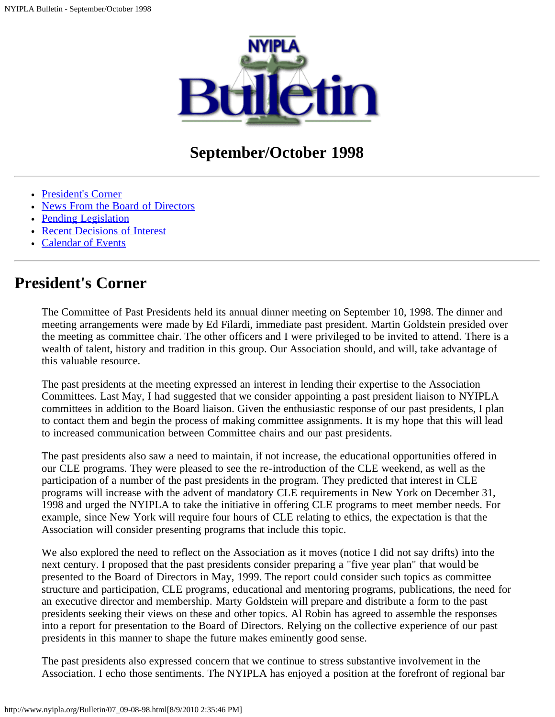

# **September/October 1998**

- [President's Corner](#page-0-0)
- [News From the Board of Directors](#page-1-0)
- [Pending Legislation](#page-4-0)
- [Recent Decisions of Interest](#page-7-0)
- [Calendar of Events](#page-9-0)

## <span id="page-0-0"></span>**President's Corner**

The Committee of Past Presidents held its annual dinner meeting on September 10, 1998. The dinner and meeting arrangements were made by Ed Filardi, immediate past president. Martin Goldstein presided over the meeting as committee chair. The other officers and I were privileged to be invited to attend. There is a wealth of talent, history and tradition in this group. Our Association should, and will, take advantage of this valuable resource.

The past presidents at the meeting expressed an interest in lending their expertise to the Association Committees. Last May, I had suggested that we consider appointing a past president liaison to NYIPLA committees in addition to the Board liaison. Given the enthusiastic response of our past presidents, I plan to contact them and begin the process of making committee assignments. It is my hope that this will lead to increased communication between Committee chairs and our past presidents.

The past presidents also saw a need to maintain, if not increase, the educational opportunities offered in our CLE programs. They were pleased to see the re-introduction of the CLE weekend, as well as the participation of a number of the past presidents in the program. They predicted that interest in CLE programs will increase with the advent of mandatory CLE requirements in New York on December 31, 1998 and urged the NYIPLA to take the initiative in offering CLE programs to meet member needs. For example, since New York will require four hours of CLE relating to ethics, the expectation is that the Association will consider presenting programs that include this topic.

We also explored the need to reflect on the Association as it moves (notice I did not say drifts) into the next century. I proposed that the past presidents consider preparing a "five year plan" that would be presented to the Board of Directors in May, 1999. The report could consider such topics as committee structure and participation, CLE programs, educational and mentoring programs, publications, the need for an executive director and membership. Marty Goldstein will prepare and distribute a form to the past presidents seeking their views on these and other topics. Al Robin has agreed to assemble the responses into a report for presentation to the Board of Directors. Relying on the collective experience of our past presidents in this manner to shape the future makes eminently good sense.

The past presidents also expressed concern that we continue to stress substantive involvement in the Association. I echo those sentiments. The NYIPLA has enjoyed a position at the forefront of regional bar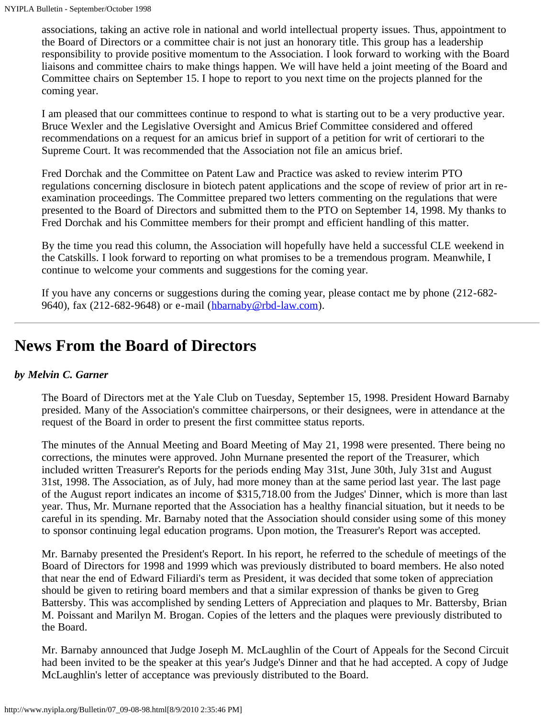associations, taking an active role in national and world intellectual property issues. Thus, appointment to the Board of Directors or a committee chair is not just an honorary title. This group has a leadership responsibility to provide positive momentum to the Association. I look forward to working with the Board liaisons and committee chairs to make things happen. We will have held a joint meeting of the Board and Committee chairs on September 15. I hope to report to you next time on the projects planned for the coming year.

I am pleased that our committees continue to respond to what is starting out to be a very productive year. Bruce Wexler and the Legislative Oversight and Amicus Brief Committee considered and offered recommendations on a request for an amicus brief in support of a petition for writ of certiorari to the Supreme Court. It was recommended that the Association not file an amicus brief.

Fred Dorchak and the Committee on Patent Law and Practice was asked to review interim PTO regulations concerning disclosure in biotech patent applications and the scope of review of prior art in reexamination proceedings. The Committee prepared two letters commenting on the regulations that were presented to the Board of Directors and submitted them to the PTO on September 14, 1998. My thanks to Fred Dorchak and his Committee members for their prompt and efficient handling of this matter.

By the time you read this column, the Association will hopefully have held a successful CLE weekend in the Catskills. I look forward to reporting on what promises to be a tremendous program. Meanwhile, I continue to welcome your comments and suggestions for the coming year.

If you have any concerns or suggestions during the coming year, please contact me by phone (212-682 9640), fax (212-682-9648) or e-mail ([hbarnaby@rbd-law.com\)](mailto:hbarnaby@rbd-law.com).

# <span id="page-1-0"></span>**News From the Board of Directors**

## *by Melvin C. Garner*

The Board of Directors met at the Yale Club on Tuesday, September 15, 1998. President Howard Barnaby presided. Many of the Association's committee chairpersons, or their designees, were in attendance at the request of the Board in order to present the first committee status reports.

The minutes of the Annual Meeting and Board Meeting of May 21, 1998 were presented. There being no corrections, the minutes were approved. John Murnane presented the report of the Treasurer, which included written Treasurer's Reports for the periods ending May 31st, June 30th, July 31st and August 31st, 1998. The Association, as of July, had more money than at the same period last year. The last page of the August report indicates an income of \$315,718.00 from the Judges' Dinner, which is more than last year. Thus, Mr. Murnane reported that the Association has a healthy financial situation, but it needs to be careful in its spending. Mr. Barnaby noted that the Association should consider using some of this money to sponsor continuing legal education programs. Upon motion, the Treasurer's Report was accepted.

Mr. Barnaby presented the President's Report. In his report, he referred to the schedule of meetings of the Board of Directors for 1998 and 1999 which was previously distributed to board members. He also noted that near the end of Edward Filiardi's term as President, it was decided that some token of appreciation should be given to retiring board members and that a similar expression of thanks be given to Greg Battersby. This was accomplished by sending Letters of Appreciation and plaques to Mr. Battersby, Brian M. Poissant and Marilyn M. Brogan. Copies of the letters and the plaques were previously distributed to the Board.

Mr. Barnaby announced that Judge Joseph M. McLaughlin of the Court of Appeals for the Second Circuit had been invited to be the speaker at this year's Judge's Dinner and that he had accepted. A copy of Judge McLaughlin's letter of acceptance was previously distributed to the Board.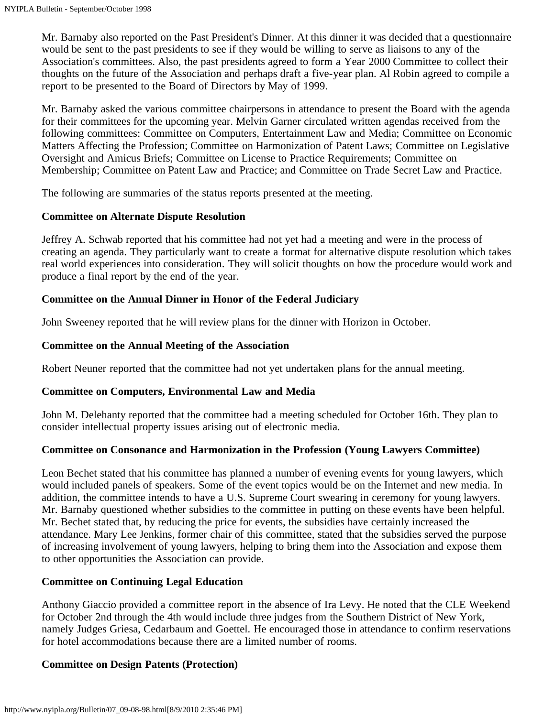Mr. Barnaby also reported on the Past President's Dinner. At this dinner it was decided that a questionnaire would be sent to the past presidents to see if they would be willing to serve as liaisons to any of the Association's committees. Also, the past presidents agreed to form a Year 2000 Committee to collect their thoughts on the future of the Association and perhaps draft a five-year plan. Al Robin agreed to compile a report to be presented to the Board of Directors by May of 1999.

Mr. Barnaby asked the various committee chairpersons in attendance to present the Board with the agenda for their committees for the upcoming year. Melvin Garner circulated written agendas received from the following committees: Committee on Computers, Entertainment Law and Media; Committee on Economic Matters Affecting the Profession; Committee on Harmonization of Patent Laws; Committee on Legislative Oversight and Amicus Briefs; Committee on License to Practice Requirements; Committee on Membership; Committee on Patent Law and Practice; and Committee on Trade Secret Law and Practice.

The following are summaries of the status reports presented at the meeting.

## **Committee on Alternate Dispute Resolution**

Jeffrey A. Schwab reported that his committee had not yet had a meeting and were in the process of creating an agenda. They particularly want to create a format for alternative dispute resolution which takes real world experiences into consideration. They will solicit thoughts on how the procedure would work and produce a final report by the end of the year.

## **Committee on the Annual Dinner in Honor of the Federal Judiciary**

John Sweeney reported that he will review plans for the dinner with Horizon in October.

## **Committee on the Annual Meeting of the Association**

Robert Neuner reported that the committee had not yet undertaken plans for the annual meeting.

## **Committee on Computers, Environmental Law and Media**

John M. Delehanty reported that the committee had a meeting scheduled for October 16th. They plan to consider intellectual property issues arising out of electronic media.

## **Committee on Consonance and Harmonization in the Profession (Young Lawyers Committee)**

Leon Bechet stated that his committee has planned a number of evening events for young lawyers, which would included panels of speakers. Some of the event topics would be on the Internet and new media. In addition, the committee intends to have a U.S. Supreme Court swearing in ceremony for young lawyers. Mr. Barnaby questioned whether subsidies to the committee in putting on these events have been helpful. Mr. Bechet stated that, by reducing the price for events, the subsidies have certainly increased the attendance. Mary Lee Jenkins, former chair of this committee, stated that the subsidies served the purpose of increasing involvement of young lawyers, helping to bring them into the Association and expose them to other opportunities the Association can provide.

## **Committee on Continuing Legal Education**

Anthony Giaccio provided a committee report in the absence of Ira Levy. He noted that the CLE Weekend for October 2nd through the 4th would include three judges from the Southern District of New York, namely Judges Griesa, Cedarbaum and Goettel. He encouraged those in attendance to confirm reservations for hotel accommodations because there are a limited number of rooms.

## **Committee on Design Patents (Protection)**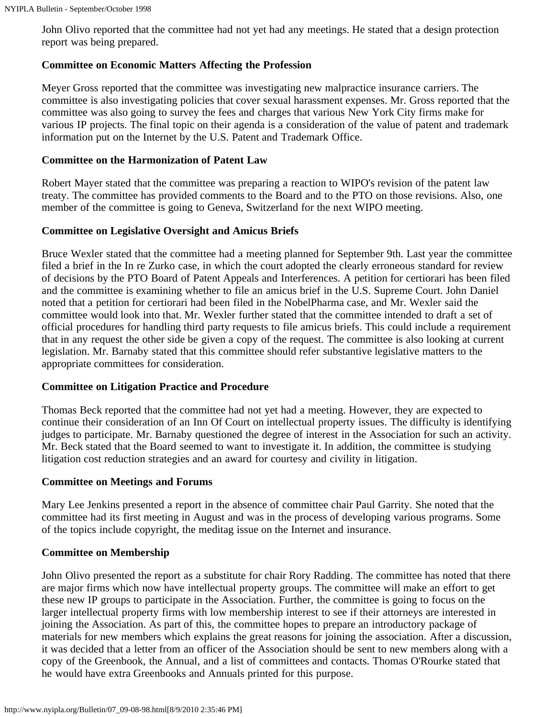John Olivo reported that the committee had not yet had any meetings. He stated that a design protection report was being prepared.

### **Committee on Economic Matters Affecting the Profession**

Meyer Gross reported that the committee was investigating new malpractice insurance carriers. The committee is also investigating policies that cover sexual harassment expenses. Mr. Gross reported that the committee was also going to survey the fees and charges that various New York City firms make for various IP projects. The final topic on their agenda is a consideration of the value of patent and trademark information put on the Internet by the U.S. Patent and Trademark Office.

### **Committee on the Harmonization of Patent Law**

Robert Mayer stated that the committee was preparing a reaction to WIPO's revision of the patent law treaty. The committee has provided comments to the Board and to the PTO on those revisions. Also, one member of the committee is going to Geneva, Switzerland for the next WIPO meeting.

### **Committee on Legislative Oversight and Amicus Briefs**

Bruce Wexler stated that the committee had a meeting planned for September 9th. Last year the committee filed a brief in the In re Zurko case, in which the court adopted the clearly erroneous standard for review of decisions by the PTO Board of Patent Appeals and Interferences. A petition for certiorari has been filed and the committee is examining whether to file an amicus brief in the U.S. Supreme Court. John Daniel noted that a petition for certiorari had been filed in the NobelPharma case, and Mr. Wexler said the committee would look into that. Mr. Wexler further stated that the committee intended to draft a set of official procedures for handling third party requests to file amicus briefs. This could include a requirement that in any request the other side be given a copy of the request. The committee is also looking at current legislation. Mr. Barnaby stated that this committee should refer substantive legislative matters to the appropriate committees for consideration.

### **Committee on Litigation Practice and Procedure**

Thomas Beck reported that the committee had not yet had a meeting. However, they are expected to continue their consideration of an Inn Of Court on intellectual property issues. The difficulty is identifying judges to participate. Mr. Barnaby questioned the degree of interest in the Association for such an activity. Mr. Beck stated that the Board seemed to want to investigate it. In addition, the committee is studying litigation cost reduction strategies and an award for courtesy and civility in litigation.

### **Committee on Meetings and Forums**

Mary Lee Jenkins presented a report in the absence of committee chair Paul Garrity. She noted that the committee had its first meeting in August and was in the process of developing various programs. Some of the topics include copyright, the meditag issue on the Internet and insurance.

### **Committee on Membership**

John Olivo presented the report as a substitute for chair Rory Radding. The committee has noted that there are major firms which now have intellectual property groups. The committee will make an effort to get these new IP groups to participate in the Association. Further, the committee is going to focus on the larger intellectual property firms with low membership interest to see if their attorneys are interested in joining the Association. As part of this, the committee hopes to prepare an introductory package of materials for new members which explains the great reasons for joining the association. After a discussion, it was decided that a letter from an officer of the Association should be sent to new members along with a copy of the Greenbook, the Annual, and a list of committees and contacts. Thomas O'Rourke stated that he would have extra Greenbooks and Annuals printed for this purpose.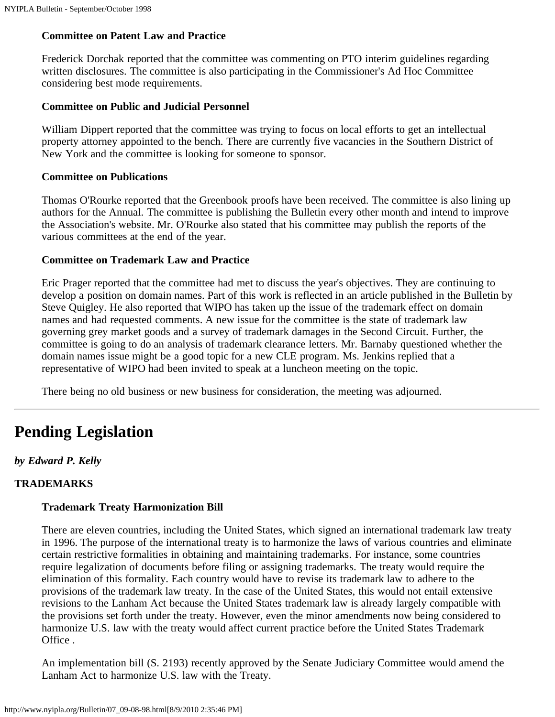### **Committee on Patent Law and Practice**

Frederick Dorchak reported that the committee was commenting on PTO interim guidelines regarding written disclosures. The committee is also participating in the Commissioner's Ad Hoc Committee considering best mode requirements.

### **Committee on Public and Judicial Personnel**

William Dippert reported that the committee was trying to focus on local efforts to get an intellectual property attorney appointed to the bench. There are currently five vacancies in the Southern District of New York and the committee is looking for someone to sponsor.

### **Committee on Publications**

Thomas O'Rourke reported that the Greenbook proofs have been received. The committee is also lining up authors for the Annual. The committee is publishing the Bulletin every other month and intend to improve the Association's website. Mr. O'Rourke also stated that his committee may publish the reports of the various committees at the end of the year.

### **Committee on Trademark Law and Practice**

Eric Prager reported that the committee had met to discuss the year's objectives. They are continuing to develop a position on domain names. Part of this work is reflected in an article published in the Bulletin by Steve Quigley. He also reported that WIPO has taken up the issue of the trademark effect on domain names and had requested comments. A new issue for the committee is the state of trademark law governing grey market goods and a survey of trademark damages in the Second Circuit. Further, the committee is going to do an analysis of trademark clearance letters. Mr. Barnaby questioned whether the domain names issue might be a good topic for a new CLE program. Ms. Jenkins replied that a representative of WIPO had been invited to speak at a luncheon meeting on the topic.

There being no old business or new business for consideration, the meeting was adjourned.

# <span id="page-4-0"></span>**Pending Legislation**

*by Edward P. Kelly*

## **TRADEMARKS**

### **Trademark Treaty Harmonization Bill**

There are eleven countries, including the United States, which signed an international trademark law treaty in 1996. The purpose of the international treaty is to harmonize the laws of various countries and eliminate certain restrictive formalities in obtaining and maintaining trademarks. For instance, some countries require legalization of documents before filing or assigning trademarks. The treaty would require the elimination of this formality. Each country would have to revise its trademark law to adhere to the provisions of the trademark law treaty. In the case of the United States, this would not entail extensive revisions to the Lanham Act because the United States trademark law is already largely compatible with the provisions set forth under the treaty. However, even the minor amendments now being considered to harmonize U.S. law with the treaty would affect current practice before the United States Trademark Office .

An implementation bill (S. 2193) recently approved by the Senate Judiciary Committee would amend the Lanham Act to harmonize U.S. law with the Treaty.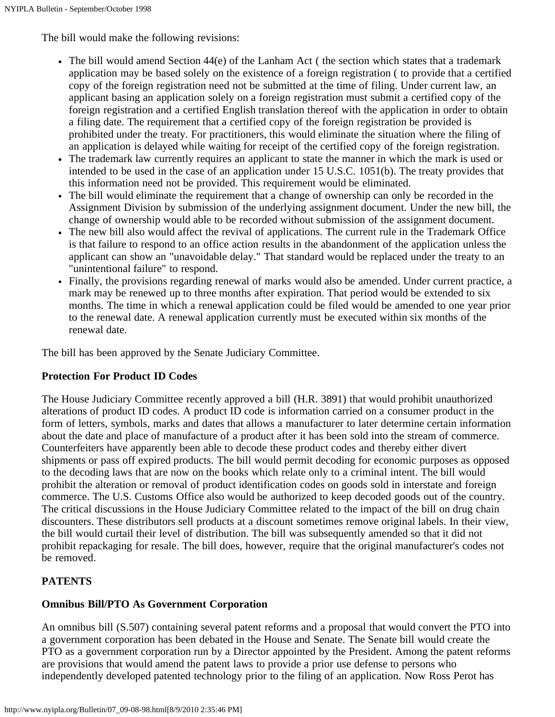The bill would make the following revisions:

- The bill would amend Section 44(e) of the Lanham Act ( the section which states that a trademark application may be based solely on the existence of a foreign registration ( to provide that a certified copy of the foreign registration need not be submitted at the time of filing. Under current law, an applicant basing an application solely on a foreign registration must submit a certified copy of the foreign registration and a certified English translation thereof with the application in order to obtain a filing date. The requirement that a certified copy of the foreign registration be provided is prohibited under the treaty. For practitioners, this would eliminate the situation where the filing of an application is delayed while waiting for receipt of the certified copy of the foreign registration.
- The trademark law currently requires an applicant to state the manner in which the mark is used or intended to be used in the case of an application under 15 U.S.C. 1051(b). The treaty provides that this information need not be provided. This requirement would be eliminated.
- The bill would eliminate the requirement that a change of ownership can only be recorded in the Assignment Division by submission of the underlying assignment document. Under the new bill, the change of ownership would able to be recorded without submission of the assignment document.
- The new bill also would affect the revival of applications. The current rule in the Trademark Office is that failure to respond to an office action results in the abandonment of the application unless the applicant can show an "unavoidable delay." That standard would be replaced under the treaty to an "unintentional failure" to respond.
- Finally, the provisions regarding renewal of marks would also be amended. Under current practice, a mark may be renewed up to three months after expiration. That period would be extended to six months. The time in which a renewal application could be filed would be amended to one year prior to the renewal date. A renewal application currently must be executed within six months of the renewal date.

The bill has been approved by the Senate Judiciary Committee.

## **Protection For Product ID Codes**

The House Judiciary Committee recently approved a bill (H.R. 3891) that would prohibit unauthorized alterations of product ID codes. A product ID code is information carried on a consumer product in the form of letters, symbols, marks and dates that allows a manufacturer to later determine certain information about the date and place of manufacture of a product after it has been sold into the stream of commerce. Counterfeiters have apparently been able to decode these product codes and thereby either divert shipments or pass off expired products. The bill would permit decoding for economic purposes as opposed to the decoding laws that are now on the books which relate only to a criminal intent. The bill would prohibit the alteration or removal of product identification codes on goods sold in interstate and foreign commerce. The U.S. Customs Office also would be authorized to keep decoded goods out of the country. The critical discussions in the House Judiciary Committee related to the impact of the bill on drug chain discounters. These distributors sell products at a discount sometimes remove original labels. In their view, the bill would curtail their level of distribution. The bill was subsequently amended so that it did not prohibit repackaging for resale. The bill does, however, require that the original manufacturer's codes not be removed.

## **PATENTS**

## **Omnibus Bill/PTO As Government Corporation**

An omnibus bill (S.507) containing several patent reforms and a proposal that would convert the PTO into a government corporation has been debated in the House and Senate. The Senate bill would create the PTO as a government corporation run by a Director appointed by the President. Among the patent reforms are provisions that would amend the patent laws to provide a prior use defense to persons who independently developed patented technology prior to the filing of an application. Now Ross Perot has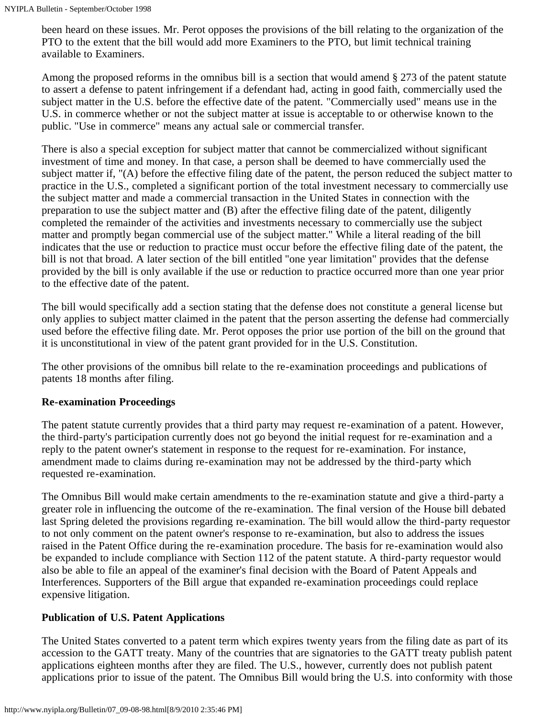been heard on these issues. Mr. Perot opposes the provisions of the bill relating to the organization of the PTO to the extent that the bill would add more Examiners to the PTO, but limit technical training available to Examiners.

Among the proposed reforms in the omnibus bill is a section that would amend § 273 of the patent statute to assert a defense to patent infringement if a defendant had, acting in good faith, commercially used the subject matter in the U.S. before the effective date of the patent. "Commercially used" means use in the U.S. in commerce whether or not the subject matter at issue is acceptable to or otherwise known to the public. "Use in commerce" means any actual sale or commercial transfer.

There is also a special exception for subject matter that cannot be commercialized without significant investment of time and money. In that case, a person shall be deemed to have commercially used the subject matter if, "(A) before the effective filing date of the patent, the person reduced the subject matter to practice in the U.S., completed a significant portion of the total investment necessary to commercially use the subject matter and made a commercial transaction in the United States in connection with the preparation to use the subject matter and (B) after the effective filing date of the patent, diligently completed the remainder of the activities and investments necessary to commercially use the subject matter and promptly began commercial use of the subject matter." While a literal reading of the bill indicates that the use or reduction to practice must occur before the effective filing date of the patent, the bill is not that broad. A later section of the bill entitled "one year limitation" provides that the defense provided by the bill is only available if the use or reduction to practice occurred more than one year prior to the effective date of the patent.

The bill would specifically add a section stating that the defense does not constitute a general license but only applies to subject matter claimed in the patent that the person asserting the defense had commercially used before the effective filing date. Mr. Perot opposes the prior use portion of the bill on the ground that it is unconstitutional in view of the patent grant provided for in the U.S. Constitution.

The other provisions of the omnibus bill relate to the re-examination proceedings and publications of patents 18 months after filing.

## **Re-examination Proceedings**

The patent statute currently provides that a third party may request re-examination of a patent. However, the third-party's participation currently does not go beyond the initial request for re-examination and a reply to the patent owner's statement in response to the request for re-examination. For instance, amendment made to claims during re-examination may not be addressed by the third-party which requested re-examination.

The Omnibus Bill would make certain amendments to the re-examination statute and give a third-party a greater role in influencing the outcome of the re-examination. The final version of the House bill debated last Spring deleted the provisions regarding re-examination. The bill would allow the third-party requestor to not only comment on the patent owner's response to re-examination, but also to address the issues raised in the Patent Office during the re-examination procedure. The basis for re-examination would also be expanded to include compliance with Section 112 of the patent statute. A third-party requestor would also be able to file an appeal of the examiner's final decision with the Board of Patent Appeals and Interferences. Supporters of the Bill argue that expanded re-examination proceedings could replace expensive litigation.

## **Publication of U.S. Patent Applications**

The United States converted to a patent term which expires twenty years from the filing date as part of its accession to the GATT treaty. Many of the countries that are signatories to the GATT treaty publish patent applications eighteen months after they are filed. The U.S., however, currently does not publish patent applications prior to issue of the patent. The Omnibus Bill would bring the U.S. into conformity with those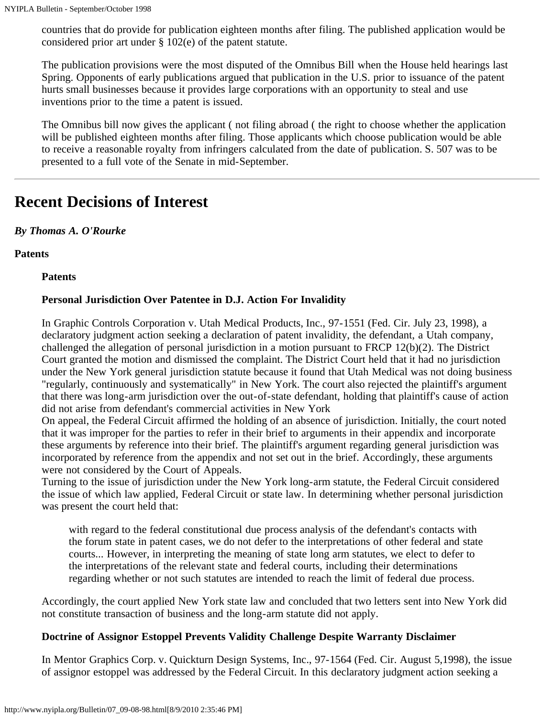countries that do provide for publication eighteen months after filing. The published application would be considered prior art under § 102(e) of the patent statute.

The publication provisions were the most disputed of the Omnibus Bill when the House held hearings last Spring. Opponents of early publications argued that publication in the U.S. prior to issuance of the patent hurts small businesses because it provides large corporations with an opportunity to steal and use inventions prior to the time a patent is issued.

The Omnibus bill now gives the applicant ( not filing abroad ( the right to choose whether the application will be published eighteen months after filing. Those applicants which choose publication would be able to receive a reasonable royalty from infringers calculated from the date of publication. S. 507 was to be presented to a full vote of the Senate in mid-September.

# <span id="page-7-0"></span>**Recent Decisions of Interest**

## *By Thomas A. O'Rourke*

**Patents**

**Patents**

## **Personal Jurisdiction Over Patentee in D.J. Action For Invalidity**

In Graphic Controls Corporation v. Utah Medical Products, Inc., 97-1551 (Fed. Cir. July 23, 1998), a declaratory judgment action seeking a declaration of patent invalidity, the defendant, a Utah company, challenged the allegation of personal jurisdiction in a motion pursuant to FRCP 12(b)(2). The District Court granted the motion and dismissed the complaint. The District Court held that it had no jurisdiction under the New York general jurisdiction statute because it found that Utah Medical was not doing business "regularly, continuously and systematically" in New York. The court also rejected the plaintiff's argument that there was long-arm jurisdiction over the out-of-state defendant, holding that plaintiff's cause of action did not arise from defendant's commercial activities in New York

On appeal, the Federal Circuit affirmed the holding of an absence of jurisdiction. Initially, the court noted that it was improper for the parties to refer in their brief to arguments in their appendix and incorporate these arguments by reference into their brief. The plaintiff's argument regarding general jurisdiction was incorporated by reference from the appendix and not set out in the brief. Accordingly, these arguments were not considered by the Court of Appeals.

Turning to the issue of jurisdiction under the New York long-arm statute, the Federal Circuit considered the issue of which law applied, Federal Circuit or state law. In determining whether personal jurisdiction was present the court held that:

with regard to the federal constitutional due process analysis of the defendant's contacts with the forum state in patent cases, we do not defer to the interpretations of other federal and state courts... However, in interpreting the meaning of state long arm statutes, we elect to defer to the interpretations of the relevant state and federal courts, including their determinations regarding whether or not such statutes are intended to reach the limit of federal due process.

Accordingly, the court applied New York state law and concluded that two letters sent into New York did not constitute transaction of business and the long-arm statute did not apply.

## **Doctrine of Assignor Estoppel Prevents Validity Challenge Despite Warranty Disclaimer**

In Mentor Graphics Corp. v. Quickturn Design Systems, Inc., 97-1564 (Fed. Cir. August 5,1998), the issue of assignor estoppel was addressed by the Federal Circuit. In this declaratory judgment action seeking a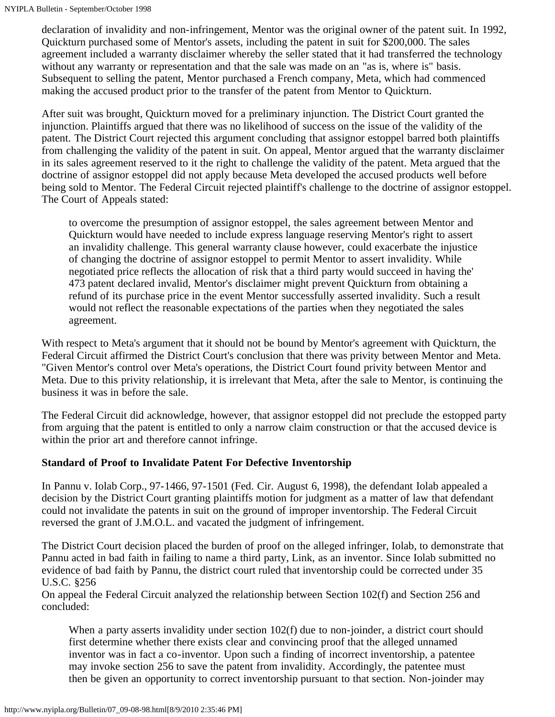declaration of invalidity and non-infringement, Mentor was the original owner of the patent suit. In 1992, Quickturn purchased some of Mentor's assets, including the patent in suit for \$200,000. The sales agreement included a warranty disclaimer whereby the seller stated that it had transferred the technology without any warranty or representation and that the sale was made on an "as is, where is" basis. Subsequent to selling the patent, Mentor purchased a French company, Meta, which had commenced making the accused product prior to the transfer of the patent from Mentor to Quickturn.

After suit was brought, Quickturn moved for a preliminary injunction. The District Court granted the injunction. Plaintiffs argued that there was no likelihood of success on the issue of the validity of the patent. The District Court rejected this argument concluding that assignor estoppel barred both plaintiffs from challenging the validity of the patent in suit. On appeal, Mentor argued that the warranty disclaimer in its sales agreement reserved to it the right to challenge the validity of the patent. Meta argued that the doctrine of assignor estoppel did not apply because Meta developed the accused products well before being sold to Mentor. The Federal Circuit rejected plaintiff's challenge to the doctrine of assignor estoppel. The Court of Appeals stated:

to overcome the presumption of assignor estoppel, the sales agreement between Mentor and Quickturn would have needed to include express language reserving Mentor's right to assert an invalidity challenge. This general warranty clause however, could exacerbate the injustice of changing the doctrine of assignor estoppel to permit Mentor to assert invalidity. While negotiated price reflects the allocation of risk that a third party would succeed in having the' 473 patent declared invalid, Mentor's disclaimer might prevent Quickturn from obtaining a refund of its purchase price in the event Mentor successfully asserted invalidity. Such a result would not reflect the reasonable expectations of the parties when they negotiated the sales agreement.

With respect to Meta's argument that it should not be bound by Mentor's agreement with Quickturn, the Federal Circuit affirmed the District Court's conclusion that there was privity between Mentor and Meta. "Given Mentor's control over Meta's operations, the District Court found privity between Mentor and Meta. Due to this privity relationship, it is irrelevant that Meta, after the sale to Mentor, is continuing the business it was in before the sale.

The Federal Circuit did acknowledge, however, that assignor estoppel did not preclude the estopped party from arguing that the patent is entitled to only a narrow claim construction or that the accused device is within the prior art and therefore cannot infringe.

## **Standard of Proof to Invalidate Patent For Defective Inventorship**

In Pannu v. Iolab Corp., 97-1466, 97-1501 (Fed. Cir. August 6, 1998), the defendant Iolab appealed a decision by the District Court granting plaintiffs motion for judgment as a matter of law that defendant could not invalidate the patents in suit on the ground of improper inventorship. The Federal Circuit reversed the grant of J.M.O.L. and vacated the judgment of infringement.

The District Court decision placed the burden of proof on the alleged infringer, Iolab, to demonstrate that Pannu acted in bad faith in failing to name a third party, Link, as an inventor. Since Iolab submitted no evidence of bad faith by Pannu, the district court ruled that inventorship could be corrected under 35 U.S.C. §256

On appeal the Federal Circuit analyzed the relationship between Section 102(f) and Section 256 and concluded:

When a party asserts invalidity under section 102(f) due to non-joinder, a district court should first determine whether there exists clear and convincing proof that the alleged unnamed inventor was in fact a co-inventor. Upon such a finding of incorrect inventorship, a patentee may invoke section 256 to save the patent from invalidity. Accordingly, the patentee must then be given an opportunity to correct inventorship pursuant to that section. Non-joinder may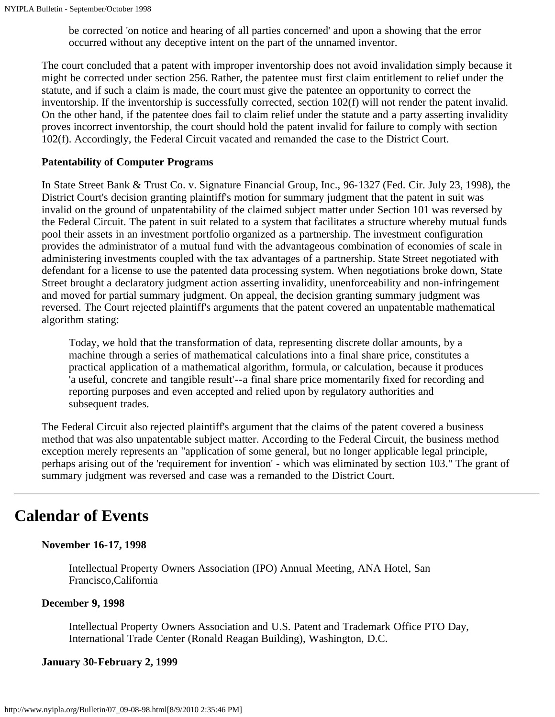be corrected 'on notice and hearing of all parties concerned' and upon a showing that the error occurred without any deceptive intent on the part of the unnamed inventor.

The court concluded that a patent with improper inventorship does not avoid invalidation simply because it might be corrected under section 256. Rather, the patentee must first claim entitlement to relief under the statute, and if such a claim is made, the court must give the patentee an opportunity to correct the inventorship. If the inventorship is successfully corrected, section 102(f) will not render the patent invalid. On the other hand, if the patentee does fail to claim relief under the statute and a party asserting invalidity proves incorrect inventorship, the court should hold the patent invalid for failure to comply with section 102(f). Accordingly, the Federal Circuit vacated and remanded the case to the District Court.

#### **Patentability of Computer Programs**

In State Street Bank & Trust Co. v. Signature Financial Group, Inc., 96-1327 (Fed. Cir. July 23, 1998), the District Court's decision granting plaintiff's motion for summary judgment that the patent in suit was invalid on the ground of unpatentability of the claimed subject matter under Section 101 was reversed by the Federal Circuit. The patent in suit related to a system that facilitates a structure whereby mutual funds pool their assets in an investment portfolio organized as a partnership. The investment configuration provides the administrator of a mutual fund with the advantageous combination of economies of scale in administering investments coupled with the tax advantages of a partnership. State Street negotiated with defendant for a license to use the patented data processing system. When negotiations broke down, State Street brought a declaratory judgment action asserting invalidity, unenforceability and non-infringement and moved for partial summary judgment. On appeal, the decision granting summary judgment was reversed. The Court rejected plaintiff's arguments that the patent covered an unpatentable mathematical algorithm stating:

Today, we hold that the transformation of data, representing discrete dollar amounts, by a machine through a series of mathematical calculations into a final share price, constitutes a practical application of a mathematical algorithm, formula, or calculation, because it produces 'a useful, concrete and tangible result'--a final share price momentarily fixed for recording and reporting purposes and even accepted and relied upon by regulatory authorities and subsequent trades.

The Federal Circuit also rejected plaintiff's argument that the claims of the patent covered a business method that was also unpatentable subject matter. According to the Federal Circuit, the business method exception merely represents an "application of some general, but no longer applicable legal principle, perhaps arising out of the 'requirement for invention' - which was eliminated by section 103." The grant of summary judgment was reversed and case was a remanded to the District Court.

## <span id="page-9-0"></span>**Calendar of Events**

### **November 16-17, 1998**

Intellectual Property Owners Association (IPO) Annual Meeting, ANA Hotel, San Francisco,California

### **December 9, 1998**

Intellectual Property Owners Association and U.S. Patent and Trademark Office PTO Day, International Trade Center (Ronald Reagan Building), Washington, D.C.

#### **January 30-February 2, 1999**